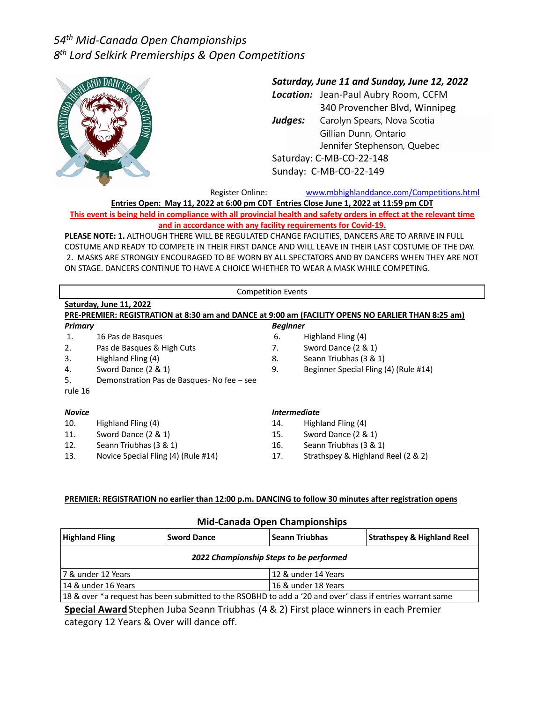

### *Saturday, June 11 and Sunday, June 12, 2022*

*Location:* Jean-Paul Aubry Room, CCFM 340 Provencher Blvd, Winnipeg *Judges:* Carolyn Spears, Nova Scotia Gillian Dunn, Ontario Jennifer Stephenson, Quebec Saturday: C-MB-CO-22-148 Sunday: C-MB-CO-22-149

Register Online: www.mbhighlanddance.com/Competitions.html

**Entries Open: May 11, 2022 at 6:00 pm CDT Entries Close June 1, 2022 at 11:59 pm CDT**

**This event is being held in compliance with all provincial health and safety orders in effect at the relevant time and in accordance with any facility requirements for Covid-19.** 

**PLEASE NOTE: 1.** ALTHOUGH THERE WILL BE REGULATED CHANGE FACILITIES, DANCERS ARE TO ARRIVE IN FULL COSTUME AND READY TO COMPETE IN THEIR FIRST DANCE AND WILL LEAVE IN THEIR LAST COSTUME OF THE DAY. 2. MASKS ARE STRONGLY ENCOURAGED TO BE WORN BY ALL SPECTATORS AND BY DANCERS WHEN THEY ARE NOT ON STAGE. DANCERS CONTINUE TO HAVE A CHOICE WHETHER TO WEAR A MASK WHILE COMPETING.

|                | <b>Competition Events</b>                 |                                   |                                                                                                    |  |  |  |  |  |  |
|----------------|-------------------------------------------|-----------------------------------|----------------------------------------------------------------------------------------------------|--|--|--|--|--|--|
|                | Saturday, June 11, 2022                   |                                   |                                                                                                    |  |  |  |  |  |  |
|                |                                           |                                   | PRE-PREMIER: REGISTRATION at 8:30 am and DANCE at 9:00 am (FACILITY OPENS NO EARLIER THAN 8:25 am) |  |  |  |  |  |  |
| <b>Primary</b> | <b>Beginner</b>                           |                                   |                                                                                                    |  |  |  |  |  |  |
| 1.             | 16 Pas de Basques                         | 6.                                | Highland Fling (4)                                                                                 |  |  |  |  |  |  |
| 2.             | Pas de Basques & High Cuts                | 7.                                | Sword Dance (2 & 1)                                                                                |  |  |  |  |  |  |
| 3.             | Highland Fling (4)                        | 8.                                | Seann Triubhas (3 & 1)                                                                             |  |  |  |  |  |  |
| 4.             | Sword Dance (2 & 1)                       | 9.                                | Beginner Special Fling (4) (Rule #14)                                                              |  |  |  |  |  |  |
| 5.             | Demonstration Pas de Basques-No fee - see |                                   |                                                                                                    |  |  |  |  |  |  |
| rule 16        |                                           |                                   |                                                                                                    |  |  |  |  |  |  |
| <b>Novice</b>  |                                           | <i><u><b>Intermediate</b></u></i> |                                                                                                    |  |  |  |  |  |  |
| 10.            | Highland Fling (4)                        | 14.                               | Highland Fling (4)                                                                                 |  |  |  |  |  |  |
| 11.            | Sword Dance (2 & 1)                       | 15.                               | Sword Dance (2 & 1)                                                                                |  |  |  |  |  |  |
| 12.            | Seann Triubhas (3 & 1)                    | 16.                               | Seann Triubhas (3 & 1)                                                                             |  |  |  |  |  |  |

13. Novice Special Fling (4) (Rule #14) 17. Strathspey & Highland Reel (2 & 2)

### **PREMIER: REGISTRATION no earlier than 12:00 p.m. DANCING to follow 30 minutes after registration opens**

| <b>Mid-Canada Open Championships</b>                                                                       |                    |                       |                                       |  |  |  |  |  |
|------------------------------------------------------------------------------------------------------------|--------------------|-----------------------|---------------------------------------|--|--|--|--|--|
| <b>Highland Fling</b>                                                                                      | <b>Sword Dance</b> | <b>Seann Triubhas</b> | <b>Strathspey &amp; Highland Reel</b> |  |  |  |  |  |
| 2022 Championship Steps to be performed                                                                    |                    |                       |                                       |  |  |  |  |  |
| 17 & under 12 Years<br>12 & under 14 Years                                                                 |                    |                       |                                       |  |  |  |  |  |
| 14 & under 16 Years                                                                                        |                    | 16 & under 18 Years   |                                       |  |  |  |  |  |
| 18 & over *a request has been submitted to the RSOBHD to add a '20 and over' class if entries warrant same |                    |                       |                                       |  |  |  |  |  |

**Special Award**Stephen Juba Seann Triubhas (4 & 2) First place winners in each Premier category 12 Years & Over will dance off.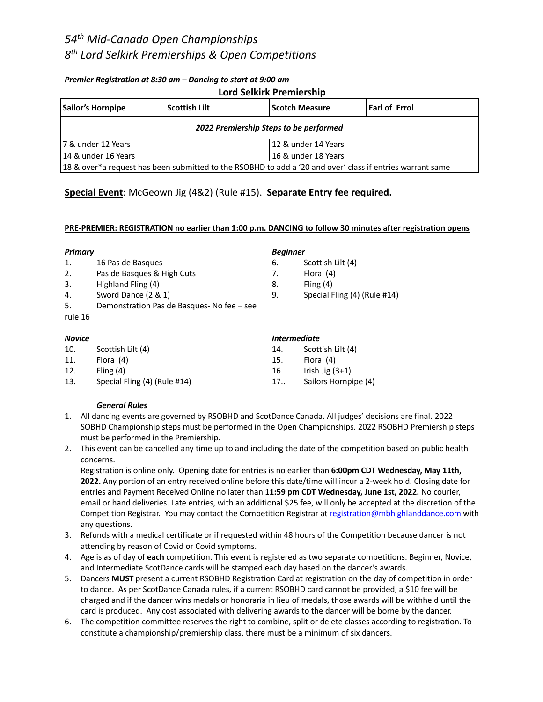#### *Premier Registration at 8:30 am – Dancing to start at 9:00 am*

| <b>Lord Selkirk Premiership</b>                                                                           |                      |                       |                      |  |  |  |  |  |
|-----------------------------------------------------------------------------------------------------------|----------------------|-----------------------|----------------------|--|--|--|--|--|
| Sailor's Hornpipe                                                                                         | <b>Scottish Lilt</b> | <b>Scotch Measure</b> | <b>Earl of Errol</b> |  |  |  |  |  |
| 2022 Premiership Steps to be performed                                                                    |                      |                       |                      |  |  |  |  |  |
| 17 & under 12 Years                                                                                       |                      | 12 & under 14 Years   |                      |  |  |  |  |  |
| l 14 & under 16 Years                                                                                     |                      | 16 & under 18 Years   |                      |  |  |  |  |  |
| 18 & over*a request has been submitted to the RSOBHD to add a '20 and over' class if entries warrant same |                      |                       |                      |  |  |  |  |  |

## **Special Event**: McGeown Jig (4&2) (Rule #15). **Separate Entry fee required.**

#### **PRE-PREMIER: REGISTRATION no earlier than 1:00 p.m. DANCING to follow 30 minutes after registration opens**

#### *Primary*

- 1. 16 Pas de Basques
- 2. Pas de Basques & High Cuts
- 3. Highland Fling (4)
- 4. Sword Dance (2 & 1)
- 5. Demonstration Pas de Basques- No fee see
- rule 16

#### *Novice*

- 10. Scottish Lilt (4)
- 11. Flora (4)
- 12. Fling (4)
- 13. Special Fling (4) (Rule #14)

### *Beginner*

- 6. Scottish Lilt (4)
- 7. Flora (4)
- 8. Fling (4)
- 9. Special Fling (4) (Rule #14)

#### *Intermediate*

14. Scottish Lilt (4) 15. Flora (4) 16. Irish Jig (3+1) 17.. Sailors Hornpipe (4)

#### *General Rules*

- 1. All dancing events are governed by RSOBHD and ScotDance Canada. All judges' decisions are final. 2022 SOBHD Championship steps must be performed in the Open Championships. 2022 RSOBHD Premiership steps must be performed in the Premiership.
- 2. This event can be cancelled any time up to and including the date of the competition based on public health concerns.

Registration is online only. Opening date for entries is no earlier than **6:00pm CDT Wednesday, May 11th, 2022.** Any portion of an entry received online before this date/time will incur a 2-week hold. Closing date for entries and Payment Received Online no later than **11:59 pm CDT Wednesday, June 1st, 2022.** No courier, email or hand deliveries. Late entries, with an additional \$25 fee, will only be accepted at the discretion of the Competition Registrar. You may contact the Competition Registrar at registration@mbhighlanddance.com with any questions.

- 3. Refunds with a medical certificate or if requested within 48 hours of the Competition because dancer is not attending by reason of Covid or Covid symptoms.
- 4. Age is as of day of **each** competition. This event is registered as two separate competitions. Beginner, Novice, and Intermediate ScotDance cards will be stamped each day based on the dancer's awards.
- 5. Dancers **MUST** present a current RSOBHD Registration Card at registration on the day of competition in order to dance. As per ScotDance Canada rules, if a current RSOBHD card cannot be provided, a \$10 fee will be charged and if the dancer wins medals or honoraria in lieu of medals, those awards will be withheld until the card is produced. Any cost associated with delivering awards to the dancer will be borne by the dancer.
- 6. The competition committee reserves the right to combine, split or delete classes according to registration. To constitute a championship/premiership class, there must be a minimum of six dancers.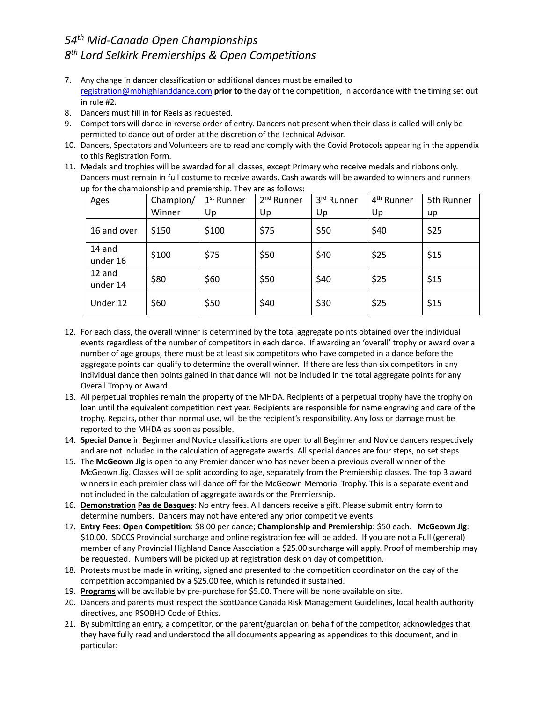- 7. Any change in dancer classification or additional dances must be emailed to registration@mbhighlanddance.com **prior to** the day of the competition, in accordance with the timing set out in rule #2.
- 8. Dancers must fill in for Reels as requested.
- 9. Competitors will dance in reverse order of entry. Dancers not present when their class is called will only be permitted to dance out of order at the discretion of the Technical Advisor.
- 10. Dancers, Spectators and Volunteers are to read and comply with the Covid Protocols appearing in the appendix to this Registration Form.
- 11. Medals and trophies will be awarded for all classes, except Primary who receive medals and ribbons only. Dancers must remain in full costume to receive awards. Cash awards will be awarded to winners and runners up for the championship and premiership. They are as follows:

| Ages               | Champion/ | 1 <sup>st</sup> Runner | 2 <sup>nd</sup> Runner | 3rd Runner | 4 <sup>th</sup> Runner | 5th Runner |
|--------------------|-----------|------------------------|------------------------|------------|------------------------|------------|
|                    | Winner    | Up                     | Up                     | Up         | Up                     | up         |
| 16 and over        | \$150     | \$100                  | \$75                   | \$50       | \$40                   | \$25       |
| 14 and<br>under 16 | \$100     | \$75                   | \$50                   | \$40       | \$25                   | \$15       |
| 12 and<br>under 14 | \$80      | \$60                   | \$50                   | \$40       | \$25                   | \$15       |
| Under 12           | \$60      | \$50                   | \$40                   | \$30       | \$25                   | \$15       |

- 12. For each class, the overall winner is determined by the total aggregate points obtained over the individual events regardless of the number of competitors in each dance. If awarding an 'overall' trophy or award over a number of age groups, there must be at least six competitors who have competed in a dance before the aggregate points can qualify to determine the overall winner. If there are less than six competitors in any individual dance then points gained in that dance will not be included in the total aggregate points for any Overall Trophy or Award.
- 13. All perpetual trophies remain the property of the MHDA. Recipients of a perpetual trophy have the trophy on loan until the equivalent competition next year. Recipients are responsible for name engraving and care of the trophy. Repairs, other than normal use, will be the recipient's responsibility. Any loss or damage must be reported to the MHDA as soon as possible.
- 14. **Special Dance** in Beginner and Novice classifications are open to all Beginner and Novice dancers respectively and are not included in the calculation of aggregate awards. All special dances are four steps, no set steps.
- 15. The **McGeown Jig** is open to any Premier dancer who has never been a previous overall winner of the McGeown Jig. Classes will be split according to age, separately from the Premiership classes. The top 3 award winners in each premier class will dance off for the McGeown Memorial Trophy. This is a separate event and not included in the calculation of aggregate awards or the Premiership.
- 16. **Demonstration Pas de Basques**: No entry fees. All dancers receive a gift. Please submit entry form to determine numbers. Dancers may not have entered any prior competitive events.
- 17. **Entry Fees**: **Open Competition**: \$8.00 per dance; **Championship and Premiership:** \$50 each. **McGeown Jig**: \$10.00. SDCCS Provincial surcharge and online registration fee will be added. If you are not a Full (general) member of any Provincial Highland Dance Association a \$25.00 surcharge will apply. Proof of membership may be requested. Numbers will be picked up at registration desk on day of competition.
- 18. Protests must be made in writing, signed and presented to the competition coordinator on the day of the competition accompanied by a \$25.00 fee, which is refunded if sustained.
- 19. **Programs** will be available by pre-purchase for \$5.00. There will be none available on site.
- 20. Dancers and parents must respect the ScotDance Canada Risk Management Guidelines, local health authority directives, and RSOBHD Code of Ethics.
- 21. By submitting an entry, a competitor, or the parent/guardian on behalf of the competitor, acknowledges that they have fully read and understood the all documents appearing as appendices to this document, and in particular: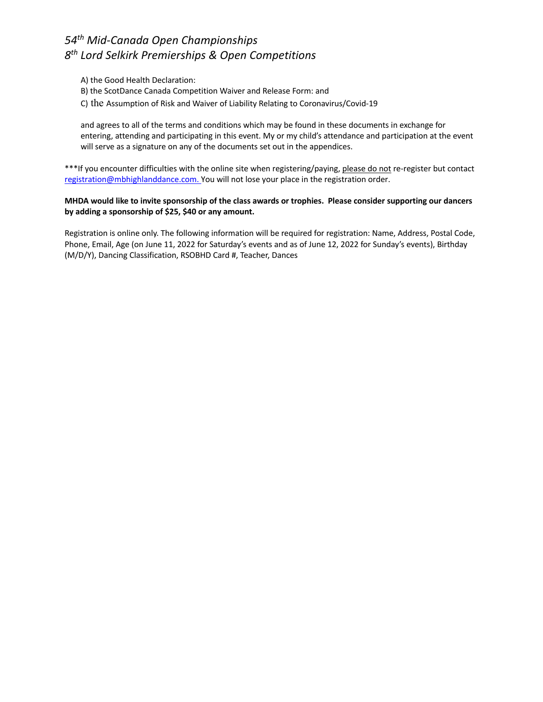- A) the Good Health Declaration:
- B) the ScotDance Canada Competition Waiver and Release Form: and
- C) the Assumption of Risk and Waiver of Liability Relating to Coronavirus/Covid-19

and agrees to all of the terms and conditions which may be found in these documents in exchange for entering, attending and participating in this event. My or my child's attendance and participation at the event will serve as a signature on any of the documents set out in the appendices.

\*\*\*If you encounter difficulties with the online site when registering/paying, please do not re-register but contact registration@mbhighlanddance.com. You will not lose your place in the registration order.

#### **MHDA would like to invite sponsorship of the class awards or trophies. Please consider supporting our dancers by adding a sponsorship of \$25, \$40 or any amount.**

Registration is online only. The following information will be required for registration: Name, Address, Postal Code, Phone, Email, Age (on June 11, 2022 for Saturday's events and as of June 12, 2022 for Sunday's events), Birthday (M/D/Y), Dancing Classification, RSOBHD Card #, Teacher, Dances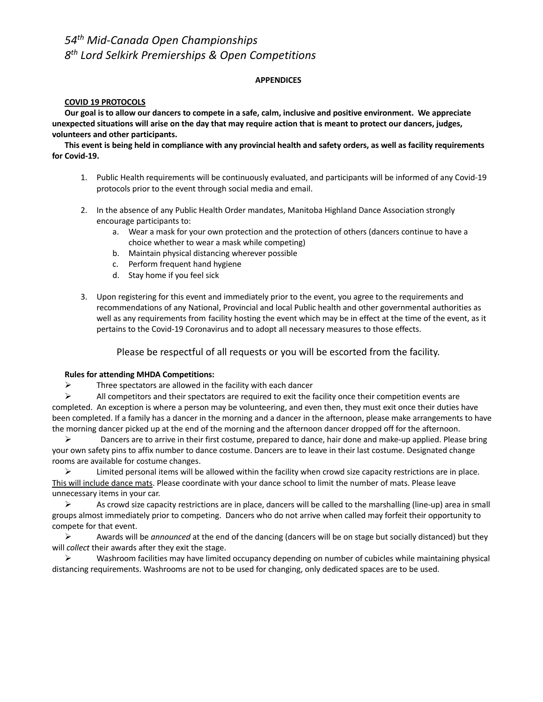#### **APPENDICES**

#### **COVID 19 PROTOCOLS**

**Our goal is to allow our dancers to compete in a safe, calm, inclusive and positive environment. We appreciate unexpected situations will arise on the day that may require action that is meant to protect our dancers, judges, volunteers and other participants.** 

**This event is being held in compliance with any provincial health and safety orders, as well as facility requirements for Covid-19.**

- 1. Public Health requirements will be continuously evaluated, and participants will be informed of any Covid-19 protocols prior to the event through social media and email.
- 2. In the absence of any Public Health Order mandates, Manitoba Highland Dance Association strongly encourage participants to:
	- a. Wear a mask for your own protection and the protection of others (dancers continue to have a choice whether to wear a mask while competing)
	- b. Maintain physical distancing wherever possible
	- c. Perform frequent hand hygiene
	- d. Stay home if you feel sick
- 3. Upon registering for this event and immediately prior to the event, you agree to the requirements and recommendations of any National, Provincial and local Public health and other governmental authorities as well as any requirements from facility hosting the event which may be in effect at the time of the event, as it pertains to the Covid-19 Coronavirus and to adopt all necessary measures to those effects.

Please be respectful of all requests or you will be escorted from the facility.

#### **Rules for attending MHDA Competitions:**

 $\triangleright$  Three spectators are allowed in the facility with each dancer

 $\triangleright$  All competitors and their spectators are required to exit the facility once their competition events are completed. An exception is where a person may be volunteering, and even then, they must exit once their duties have been completed. If a family has a dancer in the morning and a dancer in the afternoon, please make arrangements to have the morning dancer picked up at the end of the morning and the afternoon dancer dropped off for the afternoon.

 $\triangleright$  Dancers are to arrive in their first costume, prepared to dance, hair done and make-up applied. Please bring your own safety pins to affix number to dance costume. Dancers are to leave in their last costume. Designated change rooms are available for costume changes.

 $\triangleright$  Limited personal items will be allowed within the facility when crowd size capacity restrictions are in place. This will include dance mats. Please coordinate with your dance school to limit the number of mats. Please leave unnecessary items in your car.

 $\triangleright$  As crowd size capacity restrictions are in place, dancers will be called to the marshalling (line-up) area in small groups almost immediately prior to competing. Dancers who do not arrive when called may forfeit their opportunity to compete for that event.

! Awards will be *announced* at the end of the dancing (dancers will be on stage but socially distanced) but they will *collect* their awards after they exit the stage.

 $\triangleright$  Washroom facilities may have limited occupancy depending on number of cubicles while maintaining physical distancing requirements. Washrooms are not to be used for changing, only dedicated spaces are to be used.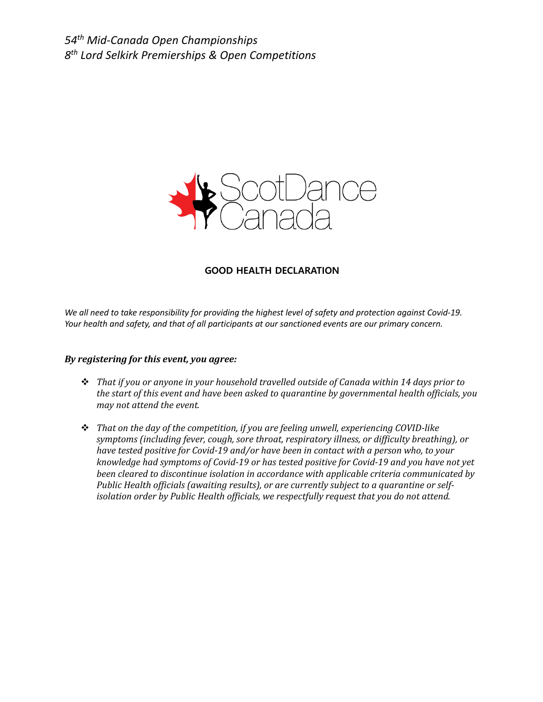

### **GOOD HEALTH DECLARATION**

*We all need to take responsibility for providing the highest level of safety and protection against Covid-19. Your health and safety, and that of all participants at our sanctioned events are our primary concern.*

#### *By registering for this event, you agree:*

- \* That if you or anyone in your household travelled outside of Canada within 14 days prior to *the start of this event and have been asked to quarantine by governmental health officials, you may not attend the event.*
- \* That on the day of the competition, if you are feeling unwell, experiencing COVID-like symptoms (including fever, cough, sore throat, respiratory illness, or difficulty breathing), or *have tested positive for Covid-19 and/or have been in contact with a person who, to your knowledge had symptoms of Covid-19 or has tested positive for Covid-19 and you have not yet* been cleared to discontinue isolation in accordance with applicable criteria communicated by *Public Health officials (awaiting results), or are currently subject to a quarantine or self*isolation order by Public Health officials, we respectfully request that you do not attend.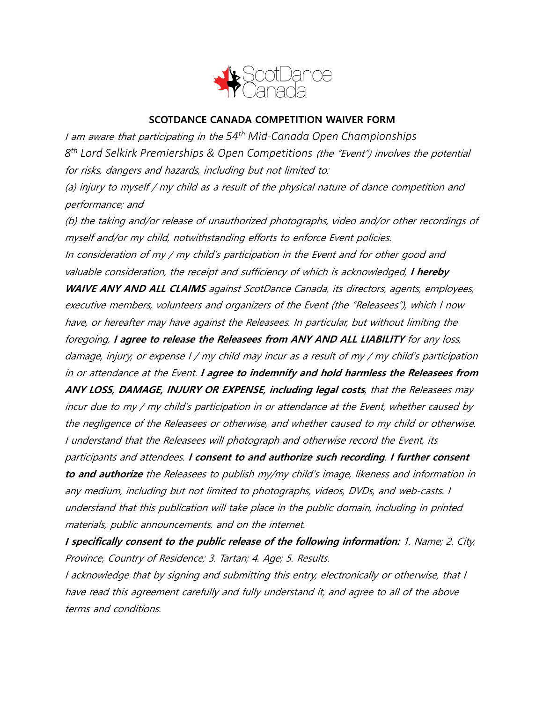

## **SCOTDANCE CANADA COMPETITION WAIVER FORM**

<sup>I</sup> am aware that participating in the *54th Mid-Canada Open Championships 8th Lord Selkirk Premierships & Open Competitions* (the "Event") involves the potential for risks, dangers and hazards, including but not limited to:

(a) injury to myself / my child as <sup>a</sup> result of the physical nature of dance competition and performance; and

(b) the taking and/or release of unauthorized photographs, video and/or other recordings of myself and/or my child, notwithstanding efforts to enforce Event policies. In consideration of my / my child's participation in the Event and for other good and valuable consideration, the receipt and sufficiency of which is acknowledged, **I hereby WAIVE ANY AND ALL CLAIMS** against ScotDance Canada, its directors, agents, employees, executive members, volunteers and organizers of the Event (the "Releasees"), which I now have, or hereafter may have against the Releasees. In particular, but without limiting the foregoing, **I agree to release the Releasees from ANY AND ALL LIABILITY** for any loss, damage, injury, or expense I / my child may incur as <sup>a</sup> result of my / my child's participation in or attendance at the Event. **I agree to indemnify and hold harmless the Releasees from ANY LOSS, DAMAGE, INJURY OR EXPENSE, including legal costs**, that the Releasees may incur due to my / my child's participation in or attendance at the Event, whether caused by the negligence of the Releasees or otherwise, and whether caused to my child or otherwise. I understand that the Releasees will photograph and otherwise record the Event, its participants and attendees. **I consent to and authorize such recording**. **I further consent to and authorize** the Releasees to publish my/my child's image, likeness and information in any medium, including but not limited to photographs, videos, DVDs, and web-casts. I understand that this publication will take place in the public domain, including in printed materials, public announcements, and on the internet.

**I specifically consent to the public release of the following information:** 1. Name; 2. City, Province, Country of Residence; 3. Tartan; 4. Age; 5. Results.

I acknowledge that by signing and submitting this entry, electronically or otherwise, that I have read this agreement carefully and fully understand it, and agree to all of the above terms and conditions.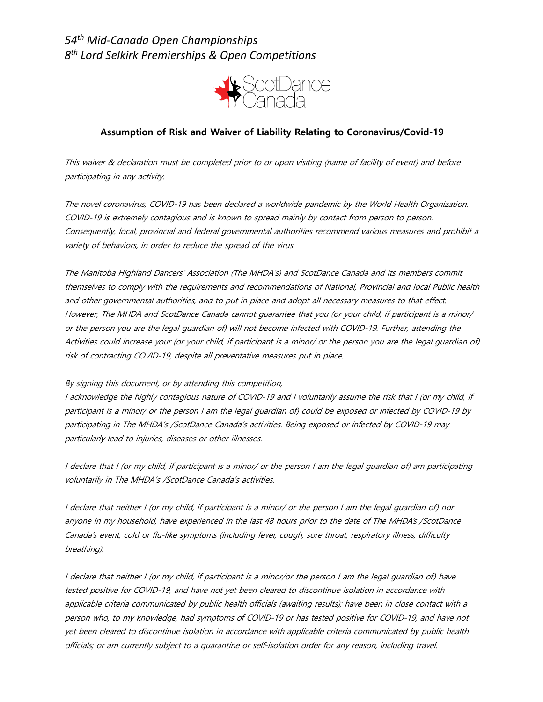

## **Assumption of Risk and Waiver of Liability Relating to Coronavirus/Covid-19**

This waiver & declaration must be completed prior to or upon visiting (name of facility of event) and before participating in any activity.

The novel coronavirus, COVID-19 has been declared a worldwide pandemic by the World Health Organization. COVID-19 is extremely contagious and is known to spread mainly by contact from person to person. Consequently, local, provincial and federal governmental authorities recommend various measures and prohibit a variety of behaviors, in order to reduce the spread of the virus.

The Manitoba Highland Dancers' Association (The MHDA's) and ScotDance Canada and its members commit themselves to comply with the requirements and recommendations of National, Provincial and local Public health and other governmental authorities, and to put in place and adopt all necessary measures to that effect. However, The MHDA and ScotDance Canada cannot guarantee that you (or your child, if participant is a minor/ or the person you are the legal guardian of) will not become infected with COVID-19. Further, attending the Activities could increase your (or your child, if participant is a minor/ or the person you are the legal guardian of) risk of contracting COVID-19, despite all preventative measures put in place.

### By signing this document, or by attending this competition,

\_\_\_\_\_\_\_\_\_\_\_\_\_\_\_\_\_\_\_\_\_\_\_\_\_\_\_\_\_\_\_\_\_\_\_\_\_\_\_\_\_\_\_\_\_\_\_\_\_\_\_\_\_\_\_\_\_\_\_\_\_\_\_\_\_\_\_\_\_\_

I acknowledge the highly contagious nature of COVID-19 and I voluntarily assume the risk that I (or my child, if participant is a minor/ or the person I am the legal guardian of) could be exposed or infected by COVID-19 by participating in The MHDA's /ScotDance Canada's activities. Being exposed or infected by COVID-19 may particularly lead to injuries, diseases or other illnesses.

I declare that I (or my child, if participant is a minor/ or the person I am the legal guardian of) am participating voluntarily in The MHDA's /ScotDance Canada's activities.

I declare that neither I (or my child, if participant is a minor/ or the person I am the legal guardian of) nor anyone in my household, have experienced in the last 48 hours prior to the date of The MHDA's /ScotDance Canada's event, cold or flu-like symptoms (including fever, cough, sore throat, respiratory illness, difficulty breathing).

I declare that neither I (or my child, if participant is a minor/or the person I am the legal guardian of) have tested positive for COVID-19, and have not yet been cleared to discontinue isolation in accordance with applicable criteria communicated by public health officials (awaiting results); have been in close contact with a person who, to my knowledge, had symptoms of COVID-19 or has tested positive for COVID-19, and have not yet been cleared to discontinue isolation in accordance with applicable criteria communicated by public health officials; or am currently subject to a quarantine or self-isolation order for any reason, including travel.